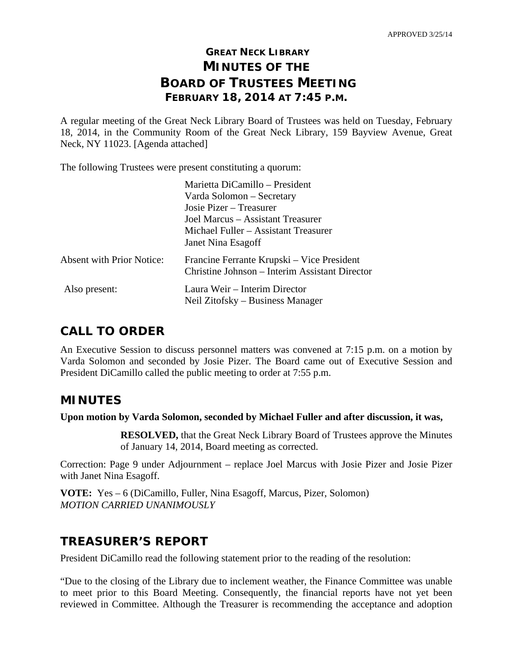# **GREAT NECK LIBRARY MINUTES OF THE BOARD OF TRUSTEES MEETING FEBRUARY 18, 2014 AT 7:45 P.M.**

A regular meeting of the Great Neck Library Board of Trustees was held on Tuesday, February 18, 2014, in the Community Room of the Great Neck Library, 159 Bayview Avenue, Great Neck, NY 11023. [Agenda attached]

The following Trustees were present constituting a quorum:

|                                  | Marietta DiCamillo – President                                                               |
|----------------------------------|----------------------------------------------------------------------------------------------|
|                                  | Varda Solomon – Secretary                                                                    |
|                                  | Josie Pizer – Treasurer                                                                      |
|                                  | Joel Marcus – Assistant Treasurer                                                            |
|                                  | Michael Fuller – Assistant Treasurer                                                         |
|                                  | Janet Nina Esagoff                                                                           |
| <b>Absent with Prior Notice:</b> | Francine Ferrante Krupski – Vice President<br>Christine Johnson – Interim Assistant Director |
|                                  |                                                                                              |
| Also present:                    | Laura Weir – Interim Director                                                                |
|                                  | Neil Zitofsky – Business Manager                                                             |

# **CALL TO ORDER**

An Executive Session to discuss personnel matters was convened at 7:15 p.m. on a motion by Varda Solomon and seconded by Josie Pizer. The Board came out of Executive Session and President DiCamillo called the public meeting to order at 7:55 p.m.

## **MINUTES**

**Upon motion by Varda Solomon, seconded by Michael Fuller and after discussion, it was,** 

**RESOLVED,** that the Great Neck Library Board of Trustees approve the Minutes of January 14, 2014, Board meeting as corrected.

Correction: Page 9 under Adjournment – replace Joel Marcus with Josie Pizer and Josie Pizer with Janet Nina Esagoff.

**VOTE:** Yes – 6 (DiCamillo, Fuller, Nina Esagoff, Marcus, Pizer, Solomon) *MOTION CARRIED UNANIMOUSLY* 

# **TREASURER'S REPORT**

President DiCamillo read the following statement prior to the reading of the resolution:

"Due to the closing of the Library due to inclement weather, the Finance Committee was unable to meet prior to this Board Meeting. Consequently, the financial reports have not yet been reviewed in Committee. Although the Treasurer is recommending the acceptance and adoption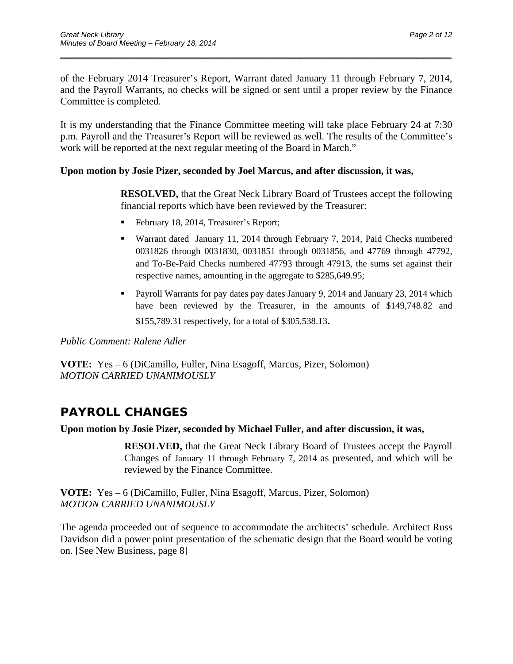of the February 2014 Treasurer's Report, Warrant dated January 11 through February 7, 2014, and the Payroll Warrants, no checks will be signed or sent until a proper review by the Finance Committee is completed.

\_\_\_\_\_\_\_\_\_\_\_\_\_\_\_\_\_\_\_\_\_\_\_\_\_\_\_\_\_\_\_\_\_\_\_\_\_\_\_\_\_\_\_\_\_\_\_\_\_\_\_\_\_\_\_\_\_\_\_\_\_\_\_\_\_\_\_\_\_\_

It is my understanding that the Finance Committee meeting will take place February 24 at 7:30 p.m. Payroll and the Treasurer's Report will be reviewed as well. The results of the Committee's work will be reported at the next regular meeting of the Board in March."

#### **Upon motion by Josie Pizer, seconded by Joel Marcus, and after discussion, it was,**

**RESOLVED,** that the Great Neck Library Board of Trustees accept the following financial reports which have been reviewed by the Treasurer:

- February 18, 2014, Treasurer's Report;
- Warrant dated January 11, 2014 through February 7, 2014, Paid Checks numbered 0031826 through 0031830, 0031851 through 0031856, and 47769 through 47792, and To-Be-Paid Checks numbered 47793 through 47913, the sums set against their respective names, amounting in the aggregate to \$285,649.95;
- Payroll Warrants for pay dates pay dates January 9, 2014 and January 23, 2014 which have been reviewed by the Treasurer, in the amounts of \$149,748.82 and \$155,789.31 respectively, for a total of \$305,538.13.

*Public Comment: Ralene Adler* 

**VOTE:** Yes – 6 (DiCamillo, Fuller, Nina Esagoff, Marcus, Pizer, Solomon) *MOTION CARRIED UNANIMOUSLY* 

# **PAYROLL CHANGES**

#### **Upon motion by Josie Pizer, seconded by Michael Fuller, and after discussion, it was,**

**RESOLVED,** that the Great Neck Library Board of Trustees accept the Payroll Changes of January 11 through February 7, 2014 as presented, and which will be reviewed by the Finance Committee.

**VOTE:** Yes – 6 (DiCamillo, Fuller, Nina Esagoff, Marcus, Pizer, Solomon) *MOTION CARRIED UNANIMOUSLY*

The agenda proceeded out of sequence to accommodate the architects' schedule. Architect Russ Davidson did a power point presentation of the schematic design that the Board would be voting on. [See New Business, page 8]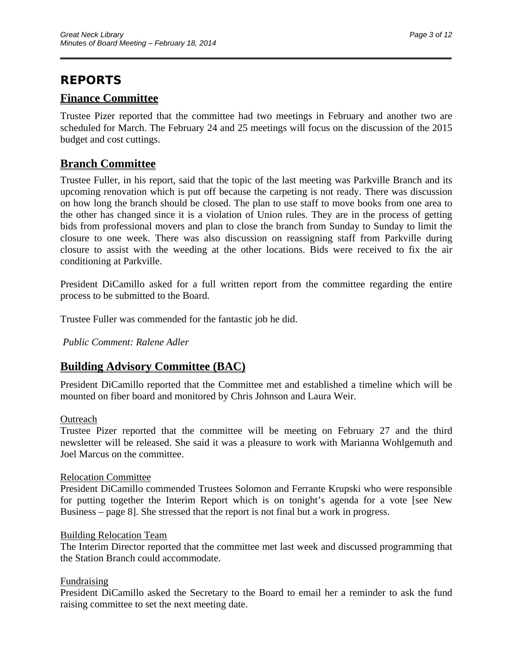## **REPORTS**

## **Finance Committee**

Trustee Pizer reported that the committee had two meetings in February and another two are scheduled for March. The February 24 and 25 meetings will focus on the discussion of the 2015 budget and cost cuttings.

\_\_\_\_\_\_\_\_\_\_\_\_\_\_\_\_\_\_\_\_\_\_\_\_\_\_\_\_\_\_\_\_\_\_\_\_\_\_\_\_\_\_\_\_\_\_\_\_\_\_\_\_\_\_\_\_\_\_\_\_\_\_\_\_\_\_\_\_\_\_

## **Branch Committee**

Trustee Fuller, in his report, said that the topic of the last meeting was Parkville Branch and its upcoming renovation which is put off because the carpeting is not ready. There was discussion on how long the branch should be closed. The plan to use staff to move books from one area to the other has changed since it is a violation of Union rules. They are in the process of getting bids from professional movers and plan to close the branch from Sunday to Sunday to limit the closure to one week. There was also discussion on reassigning staff from Parkville during closure to assist with the weeding at the other locations. Bids were received to fix the air conditioning at Parkville.

President DiCamillo asked for a full written report from the committee regarding the entire process to be submitted to the Board.

Trustee Fuller was commended for the fantastic job he did.

*Public Comment: Ralene Adler* 

## **Building Advisory Committee (BAC)**

President DiCamillo reported that the Committee met and established a timeline which will be mounted on fiber board and monitored by Chris Johnson and Laura Weir.

#### **Outreach**

Trustee Pizer reported that the committee will be meeting on February 27 and the third newsletter will be released. She said it was a pleasure to work with Marianna Wohlgemuth and Joel Marcus on the committee.

#### Relocation Committee

President DiCamillo commended Trustees Solomon and Ferrante Krupski who were responsible for putting together the Interim Report which is on tonight's agenda for a vote [see New Business – page 8]. She stressed that the report is not final but a work in progress.

#### Building Relocation Team

The Interim Director reported that the committee met last week and discussed programming that the Station Branch could accommodate.

#### Fundraising

President DiCamillo asked the Secretary to the Board to email her a reminder to ask the fund raising committee to set the next meeting date.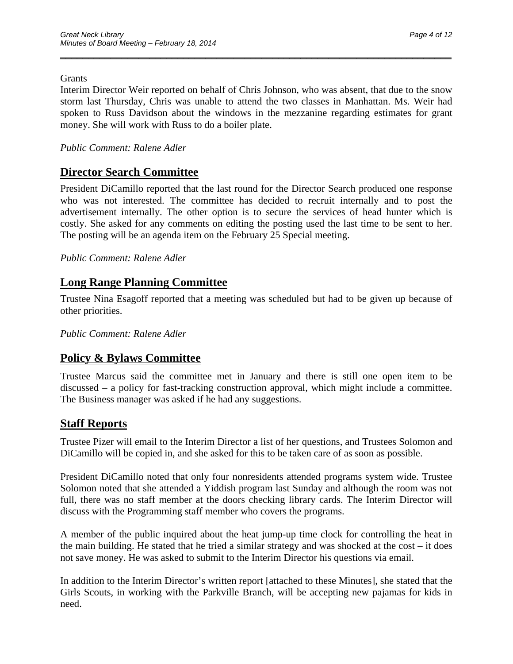#### Grants

Interim Director Weir reported on behalf of Chris Johnson, who was absent, that due to the snow storm last Thursday, Chris was unable to attend the two classes in Manhattan. Ms. Weir had spoken to Russ Davidson about the windows in the mezzanine regarding estimates for grant money. She will work with Russ to do a boiler plate.

\_\_\_\_\_\_\_\_\_\_\_\_\_\_\_\_\_\_\_\_\_\_\_\_\_\_\_\_\_\_\_\_\_\_\_\_\_\_\_\_\_\_\_\_\_\_\_\_\_\_\_\_\_\_\_\_\_\_\_\_\_\_\_\_\_\_\_\_\_\_

#### *Public Comment: Ralene Adler*

### **Director Search Committee**

President DiCamillo reported that the last round for the Director Search produced one response who was not interested. The committee has decided to recruit internally and to post the advertisement internally. The other option is to secure the services of head hunter which is costly. She asked for any comments on editing the posting used the last time to be sent to her. The posting will be an agenda item on the February 25 Special meeting.

#### *Public Comment: Ralene Adler*

## **Long Range Planning Committee**

Trustee Nina Esagoff reported that a meeting was scheduled but had to be given up because of other priorities.

*Public Comment: Ralene Adler* 

### **Policy & Bylaws Committee**

Trustee Marcus said the committee met in January and there is still one open item to be discussed – a policy for fast-tracking construction approval, which might include a committee. The Business manager was asked if he had any suggestions.

#### **Staff Reports**

Trustee Pizer will email to the Interim Director a list of her questions, and Trustees Solomon and DiCamillo will be copied in, and she asked for this to be taken care of as soon as possible.

President DiCamillo noted that only four nonresidents attended programs system wide. Trustee Solomon noted that she attended a Yiddish program last Sunday and although the room was not full, there was no staff member at the doors checking library cards. The Interim Director will discuss with the Programming staff member who covers the programs.

A member of the public inquired about the heat jump-up time clock for controlling the heat in the main building. He stated that he tried a similar strategy and was shocked at the cost – it does not save money. He was asked to submit to the Interim Director his questions via email.

In addition to the Interim Director's written report [attached to these Minutes], she stated that the Girls Scouts, in working with the Parkville Branch, will be accepting new pajamas for kids in need.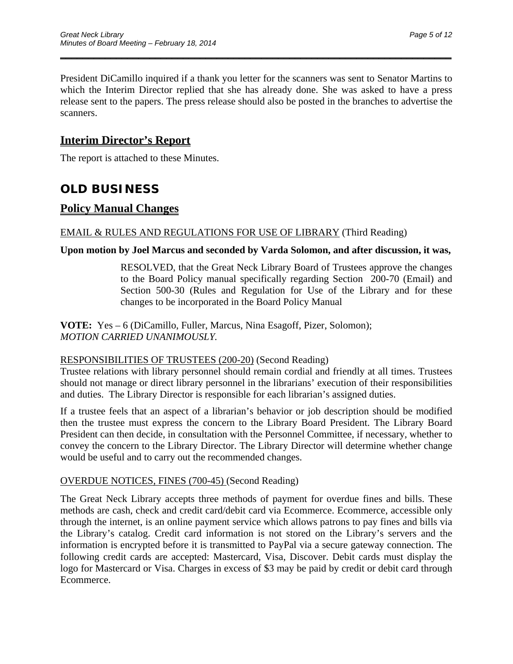President DiCamillo inquired if a thank you letter for the scanners was sent to Senator Martins to which the Interim Director replied that she has already done. She was asked to have a press release sent to the papers. The press release should also be posted in the branches to advertise the scanners.

\_\_\_\_\_\_\_\_\_\_\_\_\_\_\_\_\_\_\_\_\_\_\_\_\_\_\_\_\_\_\_\_\_\_\_\_\_\_\_\_\_\_\_\_\_\_\_\_\_\_\_\_\_\_\_\_\_\_\_\_\_\_\_\_\_\_\_\_\_\_

## **Interim Director's Report**

The report is attached to these Minutes.

## **OLD BUSINESS**

### **Policy Manual Changes**

#### EMAIL & RULES AND REGULATIONS FOR USE OF LIBRARY (Third Reading)

#### **Upon motion by Joel Marcus and seconded by Varda Solomon, and after discussion, it was,**

RESOLVED, that the Great Neck Library Board of Trustees approve the changes to the Board Policy manual specifically regarding Section 200-70 (Email) and Section 500-30 (Rules and Regulation for Use of the Library and for these changes to be incorporated in the Board Policy Manual

**VOTE:** Yes – 6 (DiCamillo, Fuller, Marcus, Nina Esagoff, Pizer, Solomon); *MOTION CARRIED UNANIMOUSLY.* 

#### RESPONSIBILITIES OF TRUSTEES (200-20) (Second Reading)

Trustee relations with library personnel should remain cordial and friendly at all times. Trustees should not manage or direct library personnel in the librarians' execution of their responsibilities and duties. The Library Director is responsible for each librarian's assigned duties.

If a trustee feels that an aspect of a librarian's behavior or job description should be modified then the trustee must express the concern to the Library Board President. The Library Board President can then decide, in consultation with the Personnel Committee, if necessary, whether to convey the concern to the Library Director. The Library Director will determine whether change would be useful and to carry out the recommended changes.

#### OVERDUE NOTICES, FINES (700-45) (Second Reading)

The Great Neck Library accepts three methods of payment for overdue fines and bills. These methods are cash, check and credit card/debit card via Ecommerce. Ecommerce, accessible only through the internet, is an online payment service which allows patrons to pay fines and bills via the Library's catalog. Credit card information is not stored on the Library's servers and the information is encrypted before it is transmitted to PayPal via a secure gateway connection. The following credit cards are accepted: Mastercard, Visa, Discover. Debit cards must display the logo for Mastercard or Visa. Charges in excess of \$3 may be paid by credit or debit card through Ecommerce.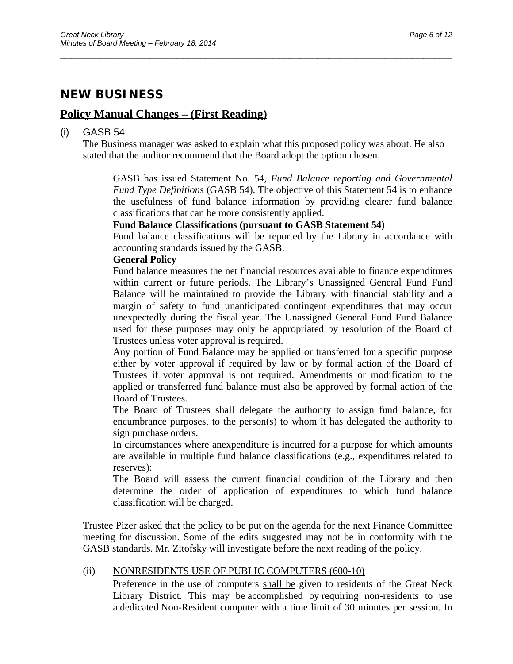## **NEW BUSINESS**

### **Policy Manual Changes – (First Reading)**

#### (i) GASB 54

The Business manager was asked to explain what this proposed policy was about. He also stated that the auditor recommend that the Board adopt the option chosen.

\_\_\_\_\_\_\_\_\_\_\_\_\_\_\_\_\_\_\_\_\_\_\_\_\_\_\_\_\_\_\_\_\_\_\_\_\_\_\_\_\_\_\_\_\_\_\_\_\_\_\_\_\_\_\_\_\_\_\_\_\_\_\_\_\_\_\_\_\_\_

GASB has issued Statement No. 54, *Fund Balance reporting and Governmental Fund Type Definitions* (GASB 54). The objective of this Statement 54 is to enhance the usefulness of fund balance information by providing clearer fund balance classifications that can be more consistently applied.

#### **Fund Balance Classifications (pursuant to GASB Statement 54)**

Fund balance classifications will be reported by the Library in accordance with accounting standards issued by the GASB.

#### **General Policy**

Fund balance measures the net financial resources available to finance expenditures within current or future periods. The Library's Unassigned General Fund Fund Balance will be maintained to provide the Library with financial stability and a margin of safety to fund unanticipated contingent expenditures that may occur unexpectedly during the fiscal year. The Unassigned General Fund Fund Balance used for these purposes may only be appropriated by resolution of the Board of Trustees unless voter approval is required.

Any portion of Fund Balance may be applied or transferred for a specific purpose either by voter approval if required by law or by formal action of the Board of Trustees if voter approval is not required. Amendments or modification to the applied or transferred fund balance must also be approved by formal action of the Board of Trustees.

The Board of Trustees shall delegate the authority to assign fund balance, for encumbrance purposes, to the person(s) to whom it has delegated the authority to sign purchase orders.

In circumstances where anexpenditure is incurred for a purpose for which amounts are available in multiple fund balance classifications (e.g., expenditures related to reserves):

The Board will assess the current financial condition of the Library and then determine the order of application of expenditures to which fund balance classification will be charged.

Trustee Pizer asked that the policy to be put on the agenda for the next Finance Committee meeting for discussion. Some of the edits suggested may not be in conformity with the GASB standards. Mr. Zitofsky will investigate before the next reading of the policy.

#### (ii) NONRESIDENTS USE OF PUBLIC COMPUTERS (600-10)

Preference in the use of computers shall be given to residents of the Great Neck Library District. This may be accomplished by requiring non-residents to use a dedicated Non-Resident computer with a time limit of 30 minutes per session. In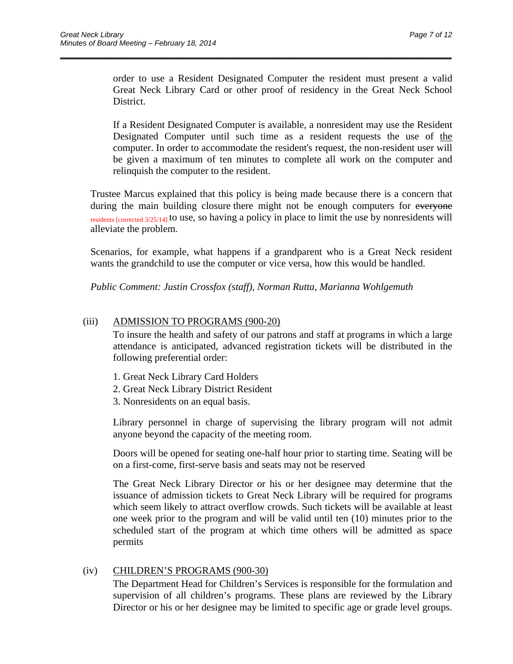order to use a Resident Designated Computer the resident must present a valid Great Neck Library Card or other proof of residency in the Great Neck School District.

\_\_\_\_\_\_\_\_\_\_\_\_\_\_\_\_\_\_\_\_\_\_\_\_\_\_\_\_\_\_\_\_\_\_\_\_\_\_\_\_\_\_\_\_\_\_\_\_\_\_\_\_\_\_\_\_\_\_\_\_\_\_\_\_\_\_\_\_\_\_

If a Resident Designated Computer is available, a nonresident may use the Resident Designated Computer until such time as a resident requests the use of the computer. In order to accommodate the resident's request, the non-resident user will be given a maximum of ten minutes to complete all work on the computer and relinquish the computer to the resident.

Trustee Marcus explained that this policy is being made because there is a concern that during the main building closure there might not be enough computers for everyone residents [corrected 3/25/14] to use, so having a policy in place to limit the use by nonresidents will alleviate the problem.

Scenarios, for example, what happens if a grandparent who is a Great Neck resident wants the grandchild to use the computer or vice versa, how this would be handled.

*Public Comment: Justin Crossfox (staff), Norman Rutta, Marianna Wohlgemuth* 

#### (iii) ADMISSION TO PROGRAMS (900-20)

To insure the health and safety of our patrons and staff at programs in which a large attendance is anticipated, advanced registration tickets will be distributed in the following preferential order:

- 1. Great Neck Library Card Holders
- 2. Great Neck Library District Resident
- 3. Nonresidents on an equal basis.

Library personnel in charge of supervising the library program will not admit anyone beyond the capacity of the meeting room.

Doors will be opened for seating one-half hour prior to starting time. Seating will be on a first-come, first-serve basis and seats may not be reserved

The Great Neck Library Director or his or her designee may determine that the issuance of admission tickets to Great Neck Library will be required for programs which seem likely to attract overflow crowds. Such tickets will be available at least one week prior to the program and will be valid until ten (10) minutes prior to the scheduled start of the program at which time others will be admitted as space permits

#### (iv) CHILDREN'S PROGRAMS (900-30)

The Department Head for Children's Services is responsible for the formulation and supervision of all children's programs. These plans are reviewed by the Library Director or his or her designee may be limited to specific age or grade level groups.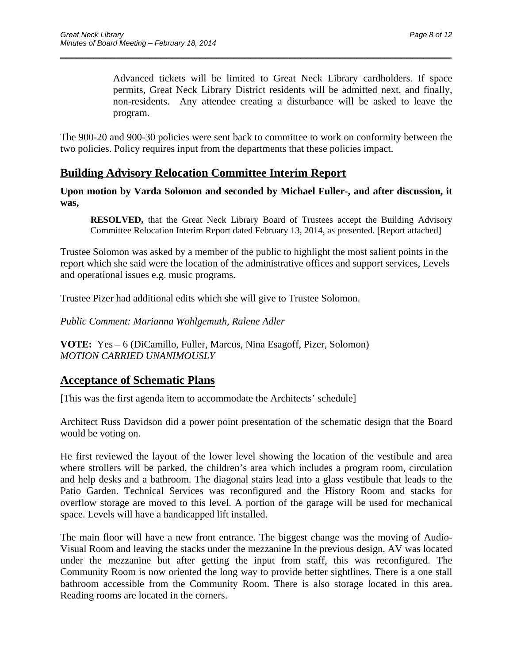Advanced tickets will be limited to Great Neck Library cardholders. If space permits, Great Neck Library District residents will be admitted next, and finally, non-residents. Any attendee creating a disturbance will be asked to leave the program.

The 900-20 and 900-30 policies were sent back to committee to work on conformity between the two policies. Policy requires input from the departments that these policies impact.

\_\_\_\_\_\_\_\_\_\_\_\_\_\_\_\_\_\_\_\_\_\_\_\_\_\_\_\_\_\_\_\_\_\_\_\_\_\_\_\_\_\_\_\_\_\_\_\_\_\_\_\_\_\_\_\_\_\_\_\_\_\_\_\_\_\_\_\_\_\_

## **Building Advisory Relocation Committee Interim Report**

**Upon motion by Varda Solomon and seconded by Michael Fuller-, and after discussion, it was,** 

 **RESOLVED,** that the Great Neck Library Board of Trustees accept the Building Advisory Committee Relocation Interim Report dated February 13, 2014, as presented. [Report attached]

Trustee Solomon was asked by a member of the public to highlight the most salient points in the report which she said were the location of the administrative offices and support services, Levels and operational issues e.g. music programs.

Trustee Pizer had additional edits which she will give to Trustee Solomon.

*Public Comment: Marianna Wohlgemuth, Ralene Adler* 

**VOTE:** Yes – 6 (DiCamillo, Fuller, Marcus, Nina Esagoff, Pizer, Solomon) *MOTION CARRIED UNANIMOUSLY* 

### **Acceptance of Schematic Plans**

[This was the first agenda item to accommodate the Architects' schedule]

Architect Russ Davidson did a power point presentation of the schematic design that the Board would be voting on.

He first reviewed the layout of the lower level showing the location of the vestibule and area where strollers will be parked, the children's area which includes a program room, circulation and help desks and a bathroom. The diagonal stairs lead into a glass vestibule that leads to the Patio Garden. Technical Services was reconfigured and the History Room and stacks for overflow storage are moved to this level. A portion of the garage will be used for mechanical space. Levels will have a handicapped lift installed.

The main floor will have a new front entrance. The biggest change was the moving of Audio-Visual Room and leaving the stacks under the mezzanine In the previous design, AV was located under the mezzanine but after getting the input from staff, this was reconfigured. The Community Room is now oriented the long way to provide better sightlines. There is a one stall bathroom accessible from the Community Room. There is also storage located in this area. Reading rooms are located in the corners.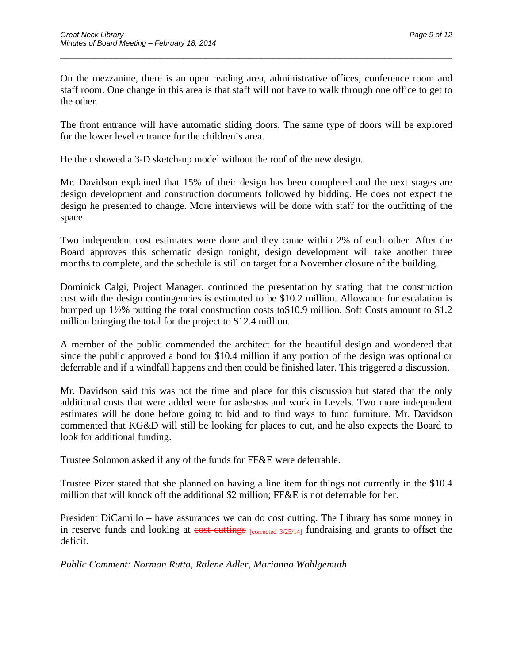On the mezzanine, there is an open reading area, administrative offices, conference room and staff room. One change in this area is that staff will not have to walk through one office to get to the other.

\_\_\_\_\_\_\_\_\_\_\_\_\_\_\_\_\_\_\_\_\_\_\_\_\_\_\_\_\_\_\_\_\_\_\_\_\_\_\_\_\_\_\_\_\_\_\_\_\_\_\_\_\_\_\_\_\_\_\_\_\_\_\_\_\_\_\_\_\_\_

The front entrance will have automatic sliding doors. The same type of doors will be explored for the lower level entrance for the children's area.

He then showed a 3-D sketch-up model without the roof of the new design.

Mr. Davidson explained that 15% of their design has been completed and the next stages are design development and construction documents followed by bidding. He does not expect the design he presented to change. More interviews will be done with staff for the outfitting of the space.

Two independent cost estimates were done and they came within 2% of each other. After the Board approves this schematic design tonight, design development will take another three months to complete, and the schedule is still on target for a November closure of the building.

Dominick Calgi, Project Manager, continued the presentation by stating that the construction cost with the design contingencies is estimated to be \$10.2 million. Allowance for escalation is bumped up 1½% putting the total construction costs to\$10.9 million. Soft Costs amount to \$1.2 million bringing the total for the project to \$12.4 million.

A member of the public commended the architect for the beautiful design and wondered that since the public approved a bond for \$10.4 million if any portion of the design was optional or deferrable and if a windfall happens and then could be finished later. This triggered a discussion.

Mr. Davidson said this was not the time and place for this discussion but stated that the only additional costs that were added were for asbestos and work in Levels. Two more independent estimates will be done before going to bid and to find ways to fund furniture. Mr. Davidson commented that KG&D will still be looking for places to cut, and he also expects the Board to look for additional funding.

Trustee Solomon asked if any of the funds for FF&E were deferrable.

Trustee Pizer stated that she planned on having a line item for things not currently in the \$10.4 million that will knock off the additional \$2 million; FF&E is not deferrable for her.

President DiCamillo – have assurances we can do cost cutting. The Library has some money in in reserve funds and looking at cost cuttings [corrected 3/25/14] fundraising and grants to offset the deficit.

*Public Comment: Norman Rutta, Ralene Adler, Marianna Wohlgemuth*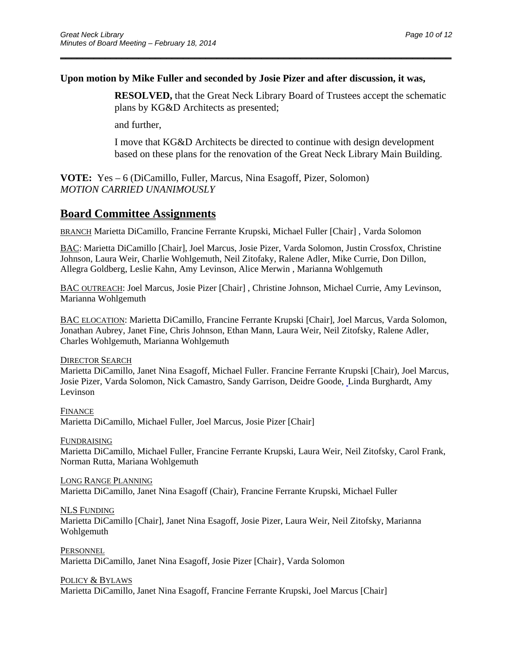#### **Upon motion by Mike Fuller and seconded by Josie Pizer and after discussion, it was,**

\_\_\_\_\_\_\_\_\_\_\_\_\_\_\_\_\_\_\_\_\_\_\_\_\_\_\_\_\_\_\_\_\_\_\_\_\_\_\_\_\_\_\_\_\_\_\_\_\_\_\_\_\_\_\_\_\_\_\_\_\_\_\_\_\_\_\_\_\_\_

 **RESOLVED,** that the Great Neck Library Board of Trustees accept the schematic plans by KG&D Architects as presented;

and further,

 I move that KG&D Architects be directed to continue with design development based on these plans for the renovation of the Great Neck Library Main Building.

**VOTE:** Yes – 6 (DiCamillo, Fuller, Marcus, Nina Esagoff, Pizer, Solomon) *MOTION CARRIED UNANIMOUSLY* 

### **Board Committee Assignments**

BRANCH Marietta DiCamillo, Francine Ferrante Krupski, Michael Fuller [Chair] , Varda Solomon

BAC: Marietta DiCamillo [Chair], Joel Marcus, Josie Pizer, Varda Solomon, Justin Crossfox, Christine Johnson, Laura Weir, Charlie Wohlgemuth, Neil Zitofaky, Ralene Adler, Mike Currie, Don Dillon, Allegra Goldberg, Leslie Kahn, Amy Levinson, Alice Merwin , Marianna Wohlgemuth

BAC OUTREACH: Joel Marcus, Josie Pizer [Chair] , Christine Johnson, Michael Currie, Amy Levinson, Marianna Wohlgemuth

BAC ELOCATION: Marietta DiCamillo, Francine Ferrante Krupski [Chair], Joel Marcus, Varda Solomon, Jonathan Aubrey, Janet Fine, Chris Johnson, Ethan Mann, Laura Weir, Neil Zitofsky, Ralene Adler, Charles Wohlgemuth, Marianna Wohlgemuth

DIRECTOR SEARCH

Marietta DiCamillo, Janet Nina Esagoff, Michael Fuller. Francine Ferrante Krupski [Chair), Joel Marcus, Josie Pizer, Varda Solomon, Nick Camastro, Sandy Garrison, Deidre Goode, Linda Burghardt, Amy Levinson

FINANCE Marietta DiCamillo, Michael Fuller, Joel Marcus, Josie Pizer [Chair]

FUNDRAISING

Marietta DiCamillo, Michael Fuller, Francine Ferrante Krupski, Laura Weir, Neil Zitofsky, Carol Frank, Norman Rutta, Mariana Wohlgemuth

LONG RANGE PLANNING Marietta DiCamillo, Janet Nina Esagoff (Chair), Francine Ferrante Krupski, Michael Fuller

NLS FUNDING

Marietta DiCamillo [Chair], Janet Nina Esagoff, Josie Pizer, Laura Weir, Neil Zitofsky, Marianna Wohlgemuth

**PERSONNEL** Marietta DiCamillo, Janet Nina Esagoff, Josie Pizer [Chair}, Varda Solomon

POLICY & BYLAWS

Marietta DiCamillo, Janet Nina Esagoff, Francine Ferrante Krupski, Joel Marcus [Chair]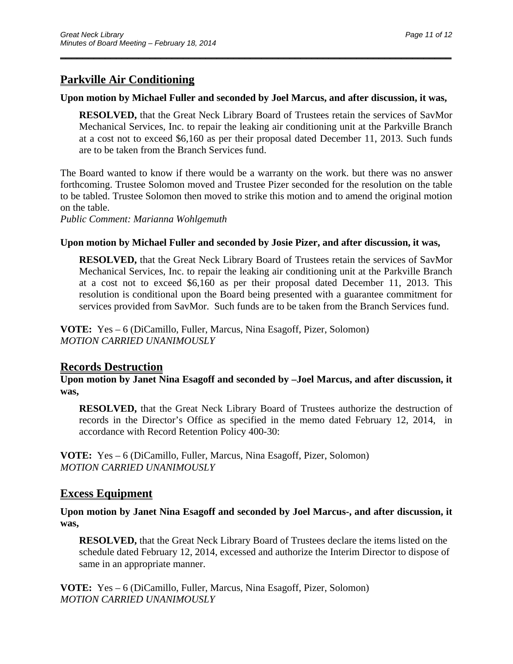## **Parkville Air Conditioning**

#### **Upon motion by Michael Fuller and seconded by Joel Marcus, and after discussion, it was,**

\_\_\_\_\_\_\_\_\_\_\_\_\_\_\_\_\_\_\_\_\_\_\_\_\_\_\_\_\_\_\_\_\_\_\_\_\_\_\_\_\_\_\_\_\_\_\_\_\_\_\_\_\_\_\_\_\_\_\_\_\_\_\_\_\_\_\_\_\_\_

 **RESOLVED,** that the Great Neck Library Board of Trustees retain the services of SavMor Mechanical Services, Inc. to repair the leaking air conditioning unit at the Parkville Branch at a cost not to exceed \$6,160 as per their proposal dated December 11, 2013. Such funds are to be taken from the Branch Services fund.

The Board wanted to know if there would be a warranty on the work. but there was no answer forthcoming. Trustee Solomon moved and Trustee Pizer seconded for the resolution on the table to be tabled. Trustee Solomon then moved to strike this motion and to amend the original motion on the table.

*Public Comment: Marianna Wohlgemuth* 

#### **Upon motion by Michael Fuller and seconded by Josie Pizer, and after discussion, it was,**

 **RESOLVED,** that the Great Neck Library Board of Trustees retain the services of SavMor Mechanical Services, Inc. to repair the leaking air conditioning unit at the Parkville Branch at a cost not to exceed \$6,160 as per their proposal dated December 11, 2013. This resolution is conditional upon the Board being presented with a guarantee commitment for services provided from SavMor. Such funds are to be taken from the Branch Services fund.

**VOTE:** Yes – 6 (DiCamillo, Fuller, Marcus, Nina Esagoff, Pizer, Solomon) *MOTION CARRIED UNANIMOUSLY* 

#### **Records Destruction**

**Upon motion by Janet Nina Esagoff and seconded by –Joel Marcus, and after discussion, it was,** 

 **RESOLVED,** that the Great Neck Library Board of Trustees authorize the destruction of records in the Director's Office as specified in the memo dated February 12, 2014, in accordance with Record Retention Policy 400-30:

**VOTE:** Yes – 6 (DiCamillo, Fuller, Marcus, Nina Esagoff, Pizer, Solomon) *MOTION CARRIED UNANIMOUSLY* 

#### **Excess Equipment**

**Upon motion by Janet Nina Esagoff and seconded by Joel Marcus-, and after discussion, it was,** 

 **RESOLVED,** that the Great Neck Library Board of Trustees declare the items listed on the schedule dated February 12, 2014, excessed and authorize the Interim Director to dispose of same in an appropriate manner.

**VOTE:** Yes – 6 (DiCamillo, Fuller, Marcus, Nina Esagoff, Pizer, Solomon) *MOTION CARRIED UNANIMOUSLY*